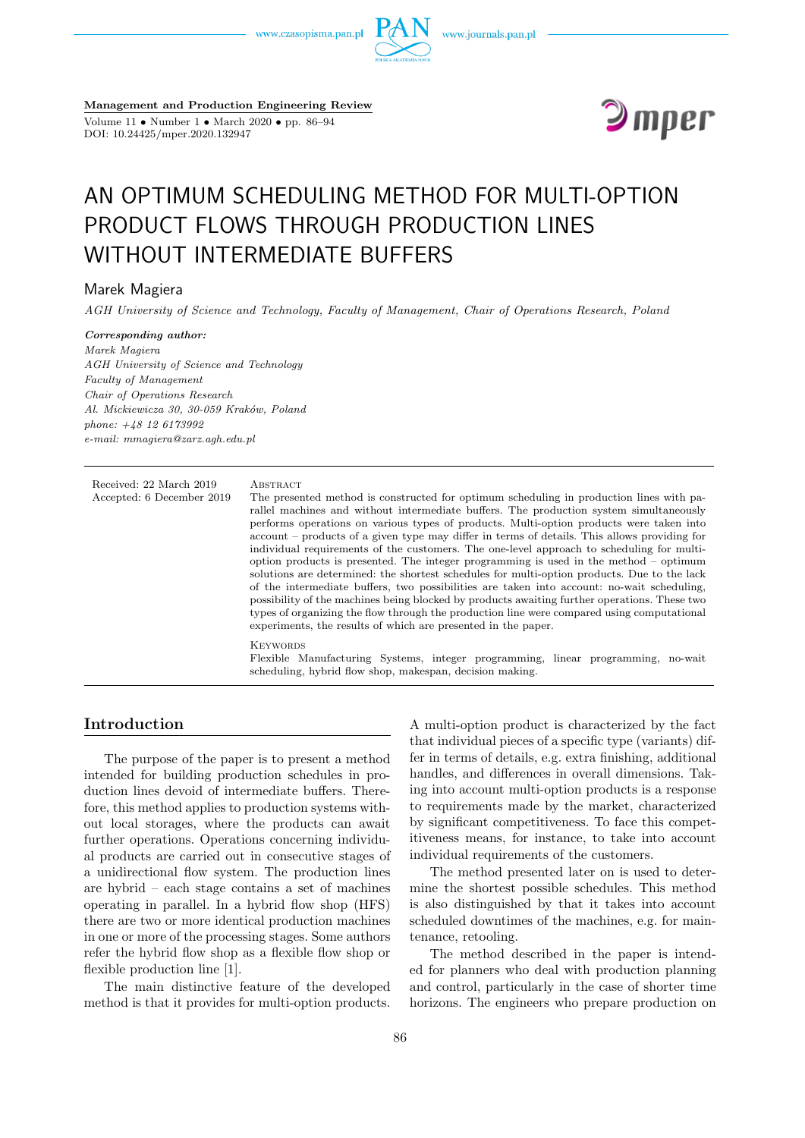www.czasopisma.pan.pl



**Management and Production Engineering Review**

Volume 11 • Number 1 • March 2020 • pp. 86–94 DOI: 10.24425/mper.2020.132947



# AN OPTIMUM SCHEDULING METHOD FOR MULTI-OPTION PRODUCT FLOWS THROUGH PRODUCTION LINES WITHOUT INTERMEDIATE BUFFERS

## Marek Magiera

*AGH University of Science and Technology, Faculty of Management, Chair of Operations Research, Poland*

*Corresponding author: Marek Magiera AGH University of Science and Technology Faculty of Management Chair of Operations Research Al. Mickiewicza 30, 30-059 Kraków, Poland phone: +48 12 6173992 e-mail: mmagiera@zarz.agh.edu.pl*

Received: 22 March 2019 ABSTRACT Accepted: 6 December 2019 The presented method is constructed for optimum scheduling in production lines with parallel machines and without intermediate buffers. The production system simultaneously performs operations on various types of products. Multi-option products were taken into account – products of a given type may differ in terms of details. This allows providing for individual requirements of the customers. The one-level approach to scheduling for multioption products is presented. The integer programming is used in the method – optimum solutions are determined: the shortest schedules for multi-option products. Due to the lack of the intermediate buffers, two possibilities are taken into account: no-wait scheduling, possibility of the machines being blocked by products awaiting further operations. These two types of organizing the flow through the production line were compared using computational experiments, the results of which are presented in the paper.

**KEYWORDS** 

Flexible Manufacturing Systems, integer programming, linear programming, no-wait scheduling, hybrid flow shop, makespan, decision making.

## **Introduction**

The purpose of the paper is to present a method intended for building production schedules in production lines devoid of intermediate buffers. Therefore, this method applies to production systems without local storages, where the products can await further operations. Operations concerning individual products are carried out in consecutive stages of a unidirectional flow system. The production lines are hybrid – each stage contains a set of machines operating in parallel. In a hybrid flow shop (HFS) there are two or more identical production machines in one or more of the processing stages. Some authors refer the hybrid flow shop as a flexible flow shop or flexible production line [1].

The main distinctive feature of the developed method is that it provides for multi-option products.

A multi-option product is characterized by the fact that individual pieces of a specific type (variants) differ in terms of details, e.g. extra finishing, additional handles, and differences in overall dimensions. Taking into account multi-option products is a response to requirements made by the market, characterized by significant competitiveness. To face this competitiveness means, for instance, to take into account individual requirements of the customers.

The method presented later on is used to determine the shortest possible schedules. This method is also distinguished by that it takes into account scheduled downtimes of the machines, e.g. for maintenance, retooling.

The method described in the paper is intended for planners who deal with production planning and control, particularly in the case of shorter time horizons. The engineers who prepare production on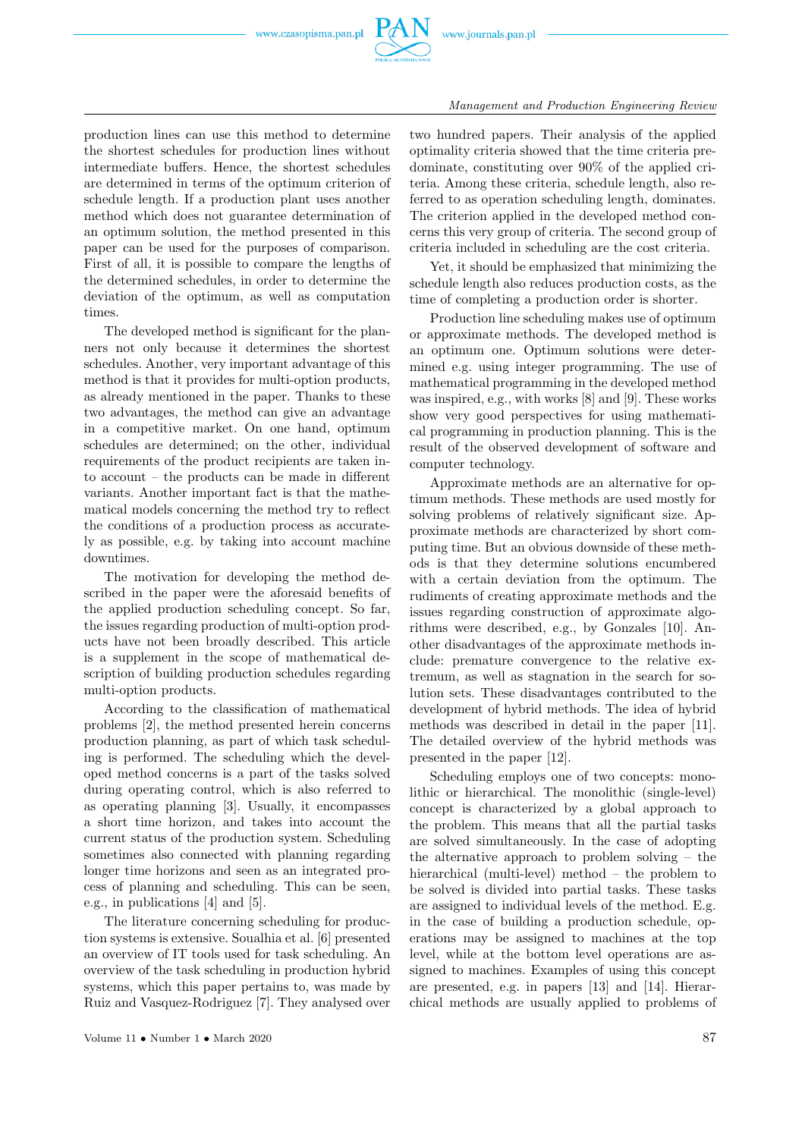

production lines can use this method to determine the shortest schedules for production lines without intermediate buffers. Hence, the shortest schedules are determined in terms of the optimum criterion of schedule length. If a production plant uses another method which does not guarantee determination of an optimum solution, the method presented in this paper can be used for the purposes of comparison. First of all, it is possible to compare the lengths of the determined schedules, in order to determine the deviation of the optimum, as well as computation times.

The developed method is significant for the planners not only because it determines the shortest schedules. Another, very important advantage of this method is that it provides for multi-option products, as already mentioned in the paper. Thanks to these two advantages, the method can give an advantage in a competitive market. On one hand, optimum schedules are determined; on the other, individual requirements of the product recipients are taken into account – the products can be made in different variants. Another important fact is that the mathematical models concerning the method try to reflect the conditions of a production process as accurately as possible, e.g. by taking into account machine downtimes.

The motivation for developing the method described in the paper were the aforesaid benefits of the applied production scheduling concept. So far, the issues regarding production of multi-option products have not been broadly described. This article is a supplement in the scope of mathematical description of building production schedules regarding multi-option products.

According to the classification of mathematical problems [2], the method presented herein concerns production planning, as part of which task scheduling is performed. The scheduling which the developed method concerns is a part of the tasks solved during operating control, which is also referred to as operating planning [3]. Usually, it encompasses a short time horizon, and takes into account the current status of the production system. Scheduling sometimes also connected with planning regarding longer time horizons and seen as an integrated process of planning and scheduling. This can be seen, e.g., in publications [4] and [5].

The literature concerning scheduling for production systems is extensive. Soualhia et al. [6] presented an overview of IT tools used for task scheduling. An overview of the task scheduling in production hybrid systems, which this paper pertains to, was made by Ruiz and Vasquez-Rodriguez [7]. They analysed over

two hundred papers. Their analysis of the applied optimality criteria showed that the time criteria predominate, constituting over 90% of the applied criteria. Among these criteria, schedule length, also referred to as operation scheduling length, dominates. The criterion applied in the developed method concerns this very group of criteria. The second group of criteria included in scheduling are the cost criteria.

Yet, it should be emphasized that minimizing the schedule length also reduces production costs, as the time of completing a production order is shorter.

Production line scheduling makes use of optimum or approximate methods. The developed method is an optimum one. Optimum solutions were determined e.g. using integer programming. The use of mathematical programming in the developed method was inspired, e.g., with works [8] and [9]. These works show very good perspectives for using mathematical programming in production planning. This is the result of the observed development of software and computer technology.

Approximate methods are an alternative for optimum methods. These methods are used mostly for solving problems of relatively significant size. Approximate methods are characterized by short computing time. But an obvious downside of these methods is that they determine solutions encumbered with a certain deviation from the optimum. The rudiments of creating approximate methods and the issues regarding construction of approximate algorithms were described, e.g., by Gonzales [10]. Another disadvantages of the approximate methods include: premature convergence to the relative extremum, as well as stagnation in the search for solution sets. These disadvantages contributed to the development of hybrid methods. The idea of hybrid methods was described in detail in the paper [11]. The detailed overview of the hybrid methods was presented in the paper [12].

Scheduling employs one of two concepts: monolithic or hierarchical. The monolithic (single-level) concept is characterized by a global approach to the problem. This means that all the partial tasks are solved simultaneously. In the case of adopting the alternative approach to problem solving – the hierarchical (multi-level) method – the problem to be solved is divided into partial tasks. These tasks are assigned to individual levels of the method. E.g. in the case of building a production schedule, operations may be assigned to machines at the top level, while at the bottom level operations are assigned to machines. Examples of using this concept are presented, e.g. in papers [13] and [14]. Hierarchical methods are usually applied to problems of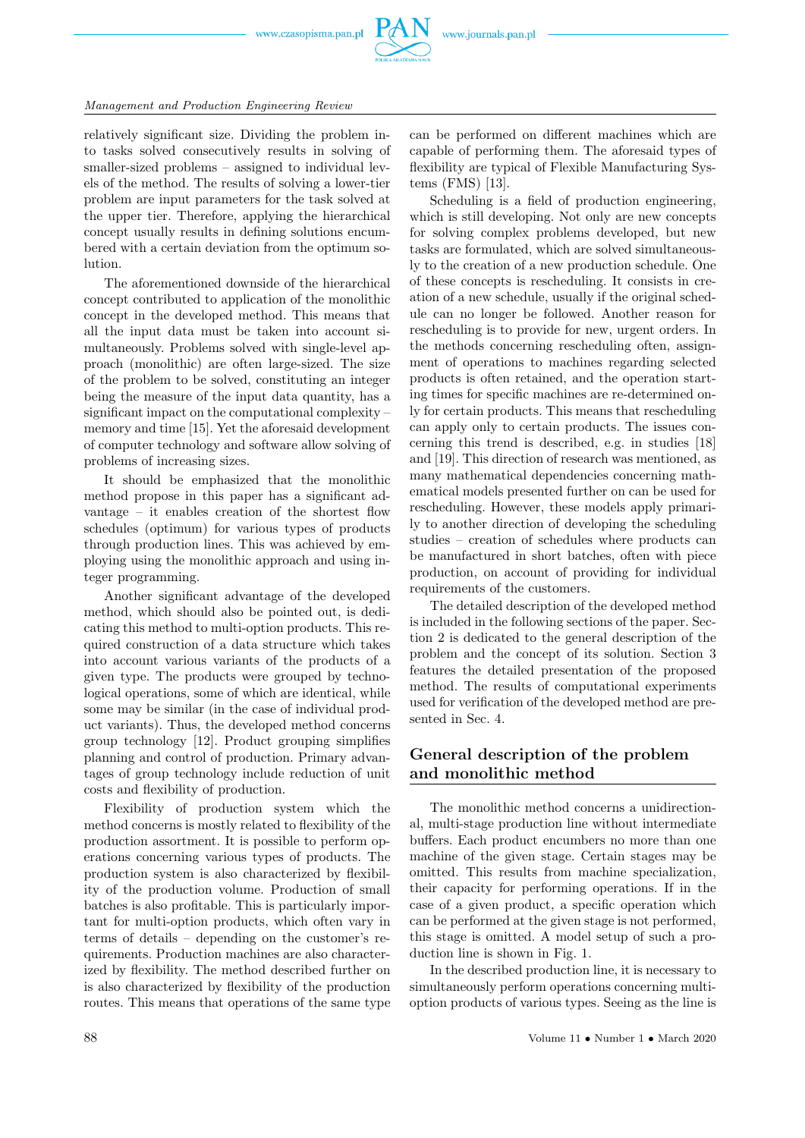

relatively significant size. Dividing the problem into tasks solved consecutively results in solving of smaller-sized problems – assigned to individual levels of the method. The results of solving a lower-tier problem are input parameters for the task solved at the upper tier. Therefore, applying the hierarchical concept usually results in defining solutions encumbered with a certain deviation from the optimum solution.

The aforementioned downside of the hierarchical concept contributed to application of the monolithic concept in the developed method. This means that all the input data must be taken into account simultaneously. Problems solved with single-level approach (monolithic) are often large-sized. The size of the problem to be solved, constituting an integer being the measure of the input data quantity, has a significant impact on the computational complexity – memory and time [15]. Yet the aforesaid development of computer technology and software allow solving of problems of increasing sizes.

It should be emphasized that the monolithic method propose in this paper has a significant advantage – it enables creation of the shortest flow schedules (optimum) for various types of products through production lines. This was achieved by employing using the monolithic approach and using integer programming.

Another significant advantage of the developed method, which should also be pointed out, is dedicating this method to multi-option products. This required construction of a data structure which takes into account various variants of the products of a given type. The products were grouped by technological operations, some of which are identical, while some may be similar (in the case of individual product variants). Thus, the developed method concerns group technology [12]. Product grouping simplifies planning and control of production. Primary advantages of group technology include reduction of unit costs and flexibility of production.

Flexibility of production system which the method concerns is mostly related to flexibility of the production assortment. It is possible to perform operations concerning various types of products. The production system is also characterized by flexibility of the production volume. Production of small batches is also profitable. This is particularly important for multi-option products, which often vary in terms of details – depending on the customer's requirements. Production machines are also characterized by flexibility. The method described further on is also characterized by flexibility of the production routes. This means that operations of the same type

can be performed on different machines which are capable of performing them. The aforesaid types of flexibility are typical of Flexible Manufacturing Systems (FMS) [13].

Scheduling is a field of production engineering, which is still developing. Not only are new concepts for solving complex problems developed, but new tasks are formulated, which are solved simultaneously to the creation of a new production schedule. One of these concepts is rescheduling. It consists in creation of a new schedule, usually if the original schedule can no longer be followed. Another reason for rescheduling is to provide for new, urgent orders. In the methods concerning rescheduling often, assignment of operations to machines regarding selected products is often retained, and the operation starting times for specific machines are re-determined only for certain products. This means that rescheduling can apply only to certain products. The issues concerning this trend is described, e.g. in studies [18] and [19]. This direction of research was mentioned, as many mathematical dependencies concerning mathematical models presented further on can be used for rescheduling. However, these models apply primarily to another direction of developing the scheduling studies – creation of schedules where products can be manufactured in short batches, often with piece production, on account of providing for individual requirements of the customers.

The detailed description of the developed method is included in the following sections of the paper. Section 2 is dedicated to the general description of the problem and the concept of its solution. Section 3 features the detailed presentation of the proposed method. The results of computational experiments used for verification of the developed method are presented in Sec. 4.

### **General description of the problem and monolithic method**

The monolithic method concerns a unidirectional, multi-stage production line without intermediate buffers. Each product encumbers no more than one machine of the given stage. Certain stages may be omitted. This results from machine specialization, their capacity for performing operations. If in the case of a given product, a specific operation which can be performed at the given stage is not performed, this stage is omitted. A model setup of such a production line is shown in Fig. 1.

In the described production line, it is necessary to simultaneously perform operations concerning multioption products of various types. Seeing as the line is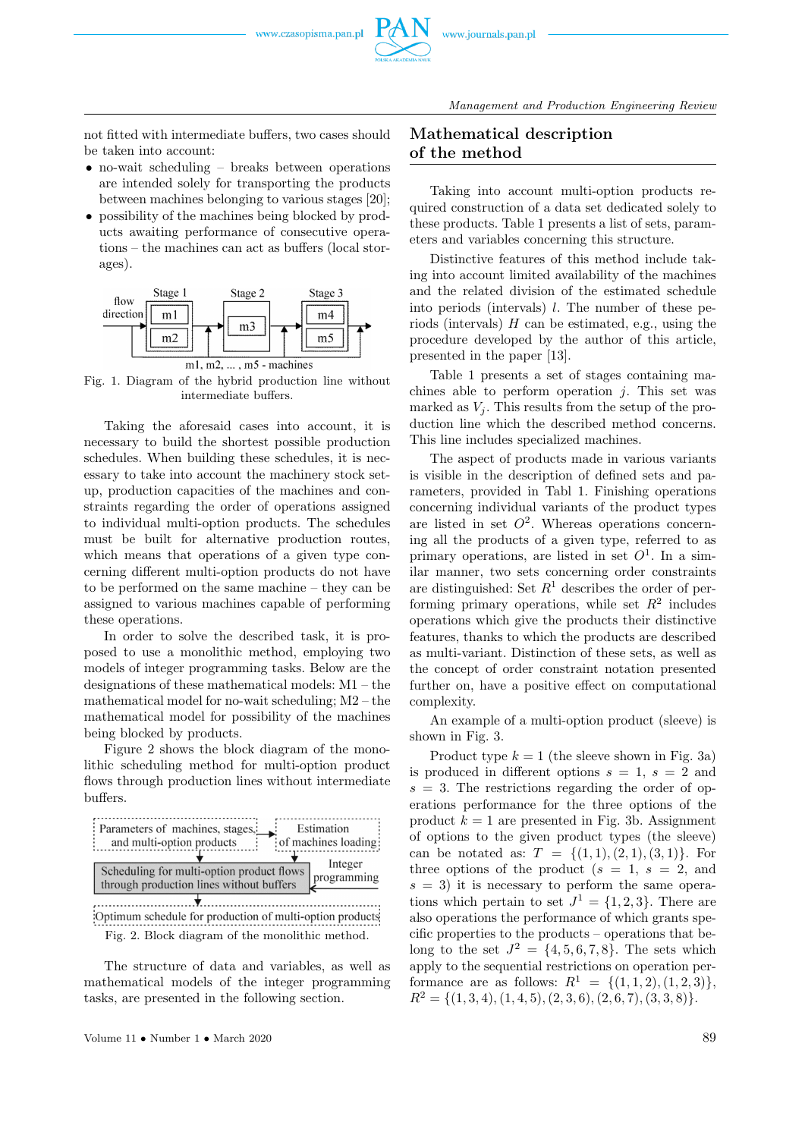

not fitted with intermediate buffers, two cases should be taken into account:

- no-wait scheduling breaks between operations are intended solely for transporting the products between machines belonging to various stages [20];
- possibility of the machines being blocked by products awaiting performance of consecutive operations – the machines can act as buffers (local storages).



Fig. 1. Diagram of the hybrid production line without intermediate buffers.

Taking the aforesaid cases into account, it is necessary to build the shortest possible production schedules. When building these schedules, it is necessary to take into account the machinery stock setup, production capacities of the machines and constraints regarding the order of operations assigned to individual multi-option products. The schedules must be built for alternative production routes, which means that operations of a given type concerning different multi-option products do not have to be performed on the same machine – they can be assigned to various machines capable of performing these operations.

In order to solve the described task, it is proposed to use a monolithic method, employing two models of integer programming tasks. Below are the designations of these mathematical models: M1 – the mathematical model for no-wait scheduling; M2 – the mathematical model for possibility of the machines being blocked by products.

Figure 2 shows the block diagram of the monolithic scheduling method for multi-option product flows through production lines without intermediate buffers.



The structure of data and variables, as well as mathematical models of the integer programming

tasks, are presented in the following section.

## **Mathematical description of the method**

Taking into account multi-option products required construction of a data set dedicated solely to these products. Table 1 presents a list of sets, parameters and variables concerning this structure.

Distinctive features of this method include taking into account limited availability of the machines and the related division of the estimated schedule into periods (intervals)  $l$ . The number of these periods (intervals)  $H$  can be estimated, e.g., using the procedure developed by the author of this article, presented in the paper [13].

Table 1 presents a set of stages containing machines able to perform operation  $j$ . This set was marked as  $V_i$ . This results from the setup of the production line which the described method concerns. This line includes specialized machines.

The aspect of products made in various variants is visible in the description of defined sets and parameters, provided in Tabl 1. Finishing operations concerning individual variants of the product types are listed in set  $O^2$ . Whereas operations concerning all the products of a given type, referred to as primary operations, are listed in set  $O<sup>1</sup>$ . In a similar manner, two sets concerning order constraints are distinguished: Set  $R<sup>1</sup>$  describes the order of performing primary operations, while set  $R^2$  includes operations which give the products their distinctive features, thanks to which the products are described as multi-variant. Distinction of these sets, as well as the concept of order constraint notation presented further on, have a positive effect on computational complexity.

An example of a multi-option product (sleeve) is shown in Fig. 3.

Product type  $k = 1$  (the sleeve shown in Fig. 3a) is produced in different options  $s = 1$ ,  $s = 2$  and  $s = 3$ . The restrictions regarding the order of operations performance for the three options of the product  $k = 1$  are presented in Fig. 3b. Assignment of options to the given product types (the sleeve) can be notated as:  $T = \{(1, 1), (2, 1), (3, 1)\}.$  For three options of the product  $(s = 1, s = 2, \text{ and})$  $s = 3$ ) it is necessary to perform the same operations which pertain to set  $J^1 = \{1, 2, 3\}$ . There are also operations the performance of which grants specific properties to the products – operations that belong to the set  $J^2 = \{4, 5, 6, 7, 8\}$ . The sets which apply to the sequential restrictions on operation performance are as follows:  $R^1 = \{(1,1,2), (1,2,3)\},\$  $R^2 = \{(1, 3, 4), (1, 4, 5), (2, 3, 6), (2, 6, 7), (3, 3, 8)\}.$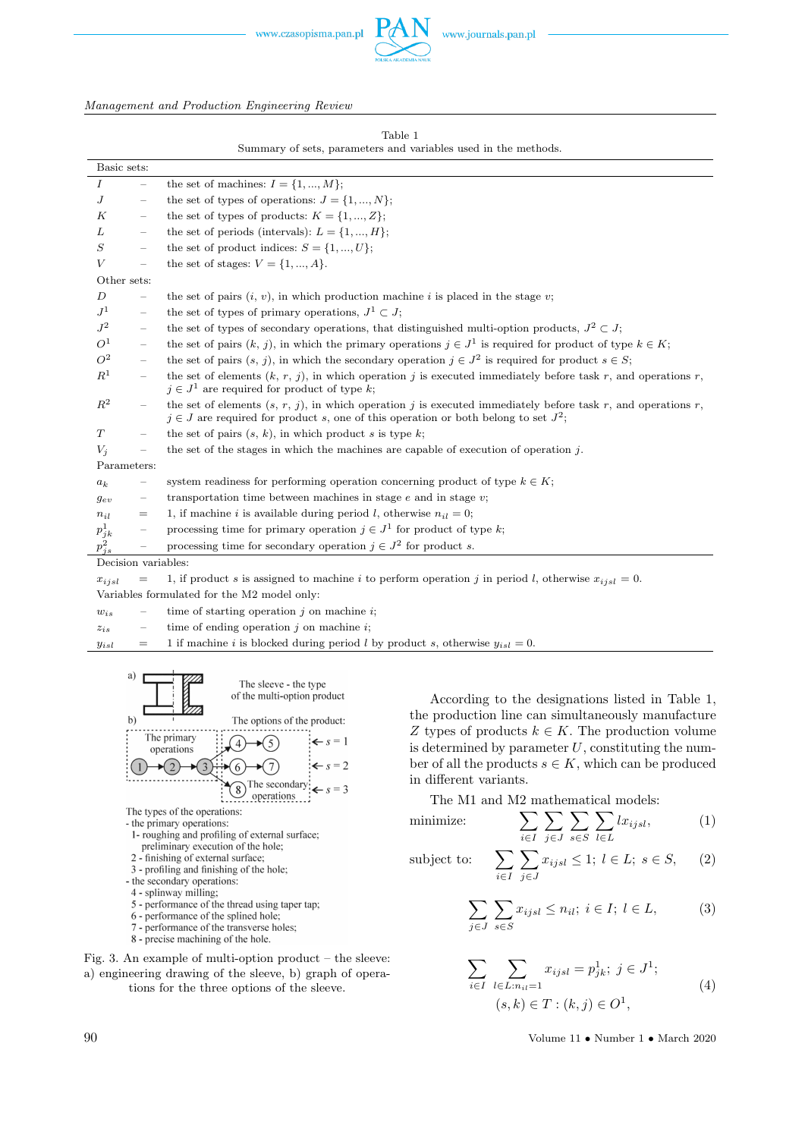www.czasopisma.pan.pl



*Management and Production Engineering Review*

Table 1

Summary of sets, parameters and variables used in the methods.

| Basic sets:                                 |                                                                           |                                                                                                                                                                                                              |  |  |  |  |  |
|---------------------------------------------|---------------------------------------------------------------------------|--------------------------------------------------------------------------------------------------------------------------------------------------------------------------------------------------------------|--|--|--|--|--|
| Ι                                           | -                                                                         | the set of machines: $I = \{1, , M\};$                                                                                                                                                                       |  |  |  |  |  |
| J                                           | $\qquad \qquad -$                                                         | the set of types of operations: $J = \{1, , N\};$                                                                                                                                                            |  |  |  |  |  |
| K                                           | $\qquad \qquad -$                                                         | the set of types of products: $K = \{1, , Z\}$ ;                                                                                                                                                             |  |  |  |  |  |
| L                                           | $\qquad \qquad -$                                                         | the set of periods (intervals): $L = \{1, , H\};$                                                                                                                                                            |  |  |  |  |  |
| S                                           | $\qquad \qquad -$                                                         | the set of product indices: $S = \{1, , U\};$                                                                                                                                                                |  |  |  |  |  |
| V                                           | $\overline{\phantom{0}}$                                                  | the set of stages: $V = \{1,,A\}.$                                                                                                                                                                           |  |  |  |  |  |
| Other sets:                                 |                                                                           |                                                                                                                                                                                                              |  |  |  |  |  |
| D                                           | $\overline{\phantom{m}}$                                                  | the set of pairs $(i, v)$ , in which production machine i is placed in the stage v;                                                                                                                          |  |  |  |  |  |
| J <sup>1</sup>                              | $\overline{\phantom{m}}$                                                  | the set of types of primary operations, $J^1 \subset J$ ;                                                                                                                                                    |  |  |  |  |  |
| $J^2$                                       | $\overline{\phantom{m}}$                                                  | the set of types of secondary operations, that distinguished multi-option products, $J^2 \subset J$ ;                                                                                                        |  |  |  |  |  |
| O <sup>1</sup>                              | $\overline{\phantom{0}}$                                                  | the set of pairs $(k, j)$ , in which the primary operations $j \in J^1$ is required for product of type $k \in K$ ;                                                                                          |  |  |  |  |  |
| O <sup>2</sup>                              | $\overline{\phantom{m}}$                                                  | the set of pairs $(s, j)$ , in which the secondary operation $j \in J^2$ is required for product $s \in S$ ;                                                                                                 |  |  |  |  |  |
| $R^1$                                       | $\hspace{1.0cm} \rule{1.5cm}{0.15cm} \hspace{1.0cm} \rule{1.5cm}{0.15cm}$ | the set of elements $(k, r, j)$ , in which operation j is executed immediately before task r, and operations r,<br>$j \in J^1$ are required for product of type k;                                           |  |  |  |  |  |
| $R^2$                                       | $\overline{\phantom{0}}$                                                  | the set of elements $(s, r, j)$ , in which operation j is executed immediately before task r, and operations r,<br>$j \in J$ are required for product s, one of this operation or both belong to set $J^2$ ; |  |  |  |  |  |
| T                                           | $\overline{\phantom{m}}$                                                  | the set of pairs $(s, k)$ , in which product s is type k;                                                                                                                                                    |  |  |  |  |  |
| $V_i$                                       |                                                                           | the set of the stages in which the machines are capable of execution of operation $j$ .                                                                                                                      |  |  |  |  |  |
| Parameters:                                 |                                                                           |                                                                                                                                                                                                              |  |  |  |  |  |
| $a_k$                                       |                                                                           | system readiness for performing operation concerning product of type $k \in K$ ;                                                                                                                             |  |  |  |  |  |
| $g_{ev}$                                    |                                                                           | transportation time between machines in stage $e$ and in stage $v$ ;                                                                                                                                         |  |  |  |  |  |
| $n_{il}$                                    | $=$                                                                       | 1, if machine i is available during period l, otherwise $n_{il} = 0$ ;                                                                                                                                       |  |  |  |  |  |
| $p_{jk}^1$                                  | $\qquad \qquad -$                                                         | processing time for primary operation $j \in J^1$ for product of type k;                                                                                                                                     |  |  |  |  |  |
| $p_{is}^2$                                  |                                                                           | processing time for secondary operation $j \in J^2$ for product s.                                                                                                                                           |  |  |  |  |  |
| Decision variables:                         |                                                                           |                                                                                                                                                                                                              |  |  |  |  |  |
| $x_{i j s l}$                               |                                                                           | 1, if product s is assigned to machine i to perform operation j in period l, otherwise $x_{ijsl} = 0$ .                                                                                                      |  |  |  |  |  |
| Variables formulated for the M2 model only: |                                                                           |                                                                                                                                                                                                              |  |  |  |  |  |
| $w_{is}$                                    |                                                                           | time of starting operation $j$ on machine $i$ ;                                                                                                                                                              |  |  |  |  |  |
| $z_{is}$                                    |                                                                           | time of ending operation $j$ on machine $i$ ,                                                                                                                                                                |  |  |  |  |  |
| $y_{isl}$                                   | =                                                                         | 1 if machine i is blocked during period l by product s, otherwise $y_{isl} = 0$ .                                                                                                                            |  |  |  |  |  |



- 3 profiling and finishing of the hole;
- the secondary operations:
- 4 splinway milling;
- 5 performance of the thread using taper tap;
- 6 performance of the splined hole;
- 7 performance of the transverse holes;
- 8 precise machining of the hole.



According to the designations listed in Table 1, the production line can simultaneously manufacture Z types of products  $k \in K$ . The production volume is determined by parameter  $U$ , constituting the number of all the products  $s \in K$ , which can be produced in different variants.

The M1 and M2 mathematical models:

minimize: 
$$
\sum_{i \in I} \sum_{j \in J} \sum_{s \in S} \sum_{l \in L} l x_{i j s l}, \qquad (1)
$$

subject to: 
$$
\sum_{i \in I} \sum_{j \in J} x_{ijsl} \le 1; l \in L; s \in S,
$$
 (2)

$$
\sum_{j \in J} \sum_{s \in S} x_{ijsl} \le n_{il}; i \in I; l \in L,
$$
 (3)

$$
\sum_{i \in I} \sum_{l \in L: n_{il}=1} x_{ijsl} = p_{jk}^1; \ j \in J^1; \\
(s, k) \in T: (k, j) \in O^1,
$$
\n(4)

90 Volume 11 • Number 1 • March 2020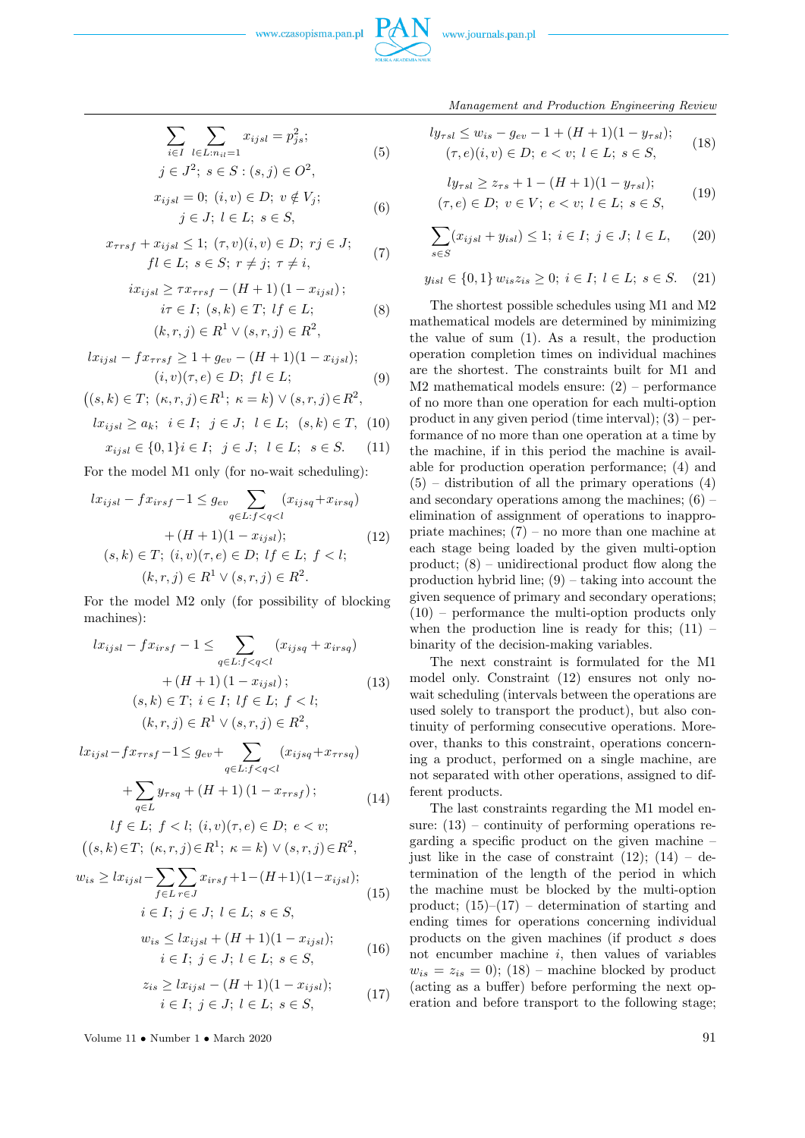



 $\sum$ i∈I  $\sum$  $l \in L: n_{il} = 1$  $x_{ijsl} = p_{js}^2;$  $j \in J^2; s \in S: (s, j) \in O^2,$ (5)

$$
x_{ijsl} = 0; (i, v) \in D; v \notin V_j; j \in J; l \in L; s \in S,
$$
 (6)

$$
x_{\tau rsf} + x_{ijsl} \le 1; \ (\tau, v)(i, v) \in D; \ rj \in J; \qquad (7)
$$

$$
fl \in L; \ s \in S; \ r \ne j; \ \tau \ne i,
$$

$$
ix_{ijsl} \geq \tau x_{\tau rsf} - (H+1)(1-x_{ijsl});
$$
  
\n
$$
i\tau \in I; (s,k) \in T; \; lf \in L;
$$
  
\n
$$
(k,r,j) \in R^1 \vee (s,r,j) \in R^2,
$$
  
\n(8)

$$
lx_{ijsl} - fx_{\tau rsf} \ge 1 + g_{ev} - (H+1)(1 - x_{ijsl});
$$
  

$$
(i, v)(\tau, e) \in D; \ f l \in L;
$$
 (9)

$$
((s,k)\in T; (\kappa,r,j)\in R^1; \ \kappa = k) \lor (s,r,j)\in R^2,
$$
  

$$
l_{\mathcal{L}_{\kappa+1}} \geq c_1; \ \ i \in I; \ \ i \in I; \ \ l \in I; \ \ (s,k)\in T \tag{10}
$$

$$
lx_{ijsl} \ge a_k; \ \ i \in I; \ \ j \in J; \ \ l \in L; \ \ (s,k) \in T, \ \ (10)
$$

$$
x_{ijsl} \in \{0,1\}i \in I; \ \ j \in J; \ \ l \in L; \ \ s \in S. \tag{11}
$$

For the model M1 only (for no-wait scheduling):

$$
lx_{ijsl} - fx_{irsf} - 1 \le g_{ev} \sum_{q \in L: f < q < l} (x_{ijsq} + x_{irsq}) + (H + 1)(1 - x_{ijsl});
$$
\n
$$
(s, k) \in T; \ (i, v)(\tau, e) \in D; \ l f \in L; \ f < l; \\
 (k, r, j) \in R^1 \lor (s, r, j) \in R^2.
$$
\n
$$
(12)
$$

For the model M2 only (for possibility of blocking machines):

$$
lx_{ijsl} - fx_{irsf} - 1 \le \sum_{q \in L: f < q < l} (x_{ijsq} + x_{irsq}) \\
 \quad + (H + 1)(1 - x_{ijsl}); \\
 \quad (s, k) \in T; \ i \in I; \ lf \in L; \ f < l; \\
 \quad (k, r, j) \in R^1 \lor (s, r, j) \in R^2,
$$
\n
$$
(13)
$$

$$
lx_{ijsl} - fx_{\tau rsf} - 1 \le g_{ev} + \sum_{q \in L: f < q < l} (x_{ijsq} + x_{\tau rsq}) + \sum_{q \in L} y_{\tau sq} + (H+1)(1 - x_{\tau rsf}); \tag{14}
$$

 $lf \in L; f < l; (i, v)(\tau, e) \in D; e < v;$ 

 $((s, k) \in T; (\kappa, r, j) \in R^1; \kappa = k) \vee (s, r, j) \in R^2,$ 

$$
w_{is} \ge lx_{ijsl} - \sum_{f \in L} \sum_{r \in J} x_{irsf} + 1 - (H + 1)(1 - x_{ijsl});
$$
  

$$
i \in I; j \in J; l \in L; s \in S,
$$
 (15)

$$
w_{is} \le lx_{ijsl} + (H+1)(1 - x_{ijsl});
$$
  
 $i \in I; j \in J; l \in L; s \in S,$  (16)

$$
z_{is} \ge lx_{ijsl} - (H+1)(1 - x_{ijsl});
$$
  
 $i \in I; j \in J; l \in L; s \in S,$  (17)

Volume  $11 \cdot \text{Number } 1 \cdot \text{March } 2020$  91

*Management and Production Engineering Review*

$$
ly_{\tau sl} \le w_{is} - g_{ev} - 1 + (H + 1)(1 - y_{\tau sl});
$$
  

$$
(\tau, e)(i, v) \in D; e < v; l \in L; s \in S,
$$
 (18)

$$
ly_{\tau sl} \ge z_{\tau s} + 1 - (H + 1)(1 - y_{\tau sl});
$$
  
( $\tau, e$ )  $\in$  D;  $v \in V$ ;  $e < v$ ;  $l \in L$ ;  $s \in S$ , (19)

$$
\sum_{s \in S} (x_{ijsl} + y_{isl}) \le 1; \ i \in I; \ j \in J; \ l \in L, \qquad (20)
$$

$$
y_{isl} \in \{0, 1\} \, w_{is} z_{is} \ge 0; \ i \in I; \ l \in L; \ s \in S. \tag{21}
$$

The shortest possible schedules using M1 and M2 mathematical models are determined by minimizing the value of sum (1). As a result, the production operation completion times on individual machines are the shortest. The constraints built for M1 and M2 mathematical models ensure: (2) – performance of no more than one operation for each multi-option product in any given period (time interval); (3) – performance of no more than one operation at a time by the machine, if in this period the machine is available for production operation performance; (4) and  $(5)$  – distribution of all the primary operations  $(4)$ and secondary operations among the machines;  $(6)$  – elimination of assignment of operations to inappropriate machines;  $(7)$  – no more than one machine at each stage being loaded by the given multi-option product;  $(8)$  – unidirectional product flow along the production hybrid line;  $(9)$  – taking into account the given sequence of primary and secondary operations; (10) – performance the multi-option products only when the production line is ready for this;  $(11)$  – binarity of the decision-making variables.

The next constraint is formulated for the M1 model only. Constraint (12) ensures not only nowait scheduling (intervals between the operations are used solely to transport the product), but also continuity of performing consecutive operations. Moreover, thanks to this constraint, operations concerning a product, performed on a single machine, are not separated with other operations, assigned to different products.

The last constraints regarding the M1 model ensure:  $(13)$  – continuity of performing operations regarding a specific product on the given machine – just like in the case of constraint  $(12)$ ;  $(14)$  – determination of the length of the period in which the machine must be blocked by the multi-option product;  $(15)$ – $(17)$  – determination of starting and ending times for operations concerning individual products on the given machines (if product s does not encumber machine  $i$ , then values of variables  $w_{is} = z_{is} = 0$ ; (18) – machine blocked by product (acting as a buffer) before performing the next operation and before transport to the following stage;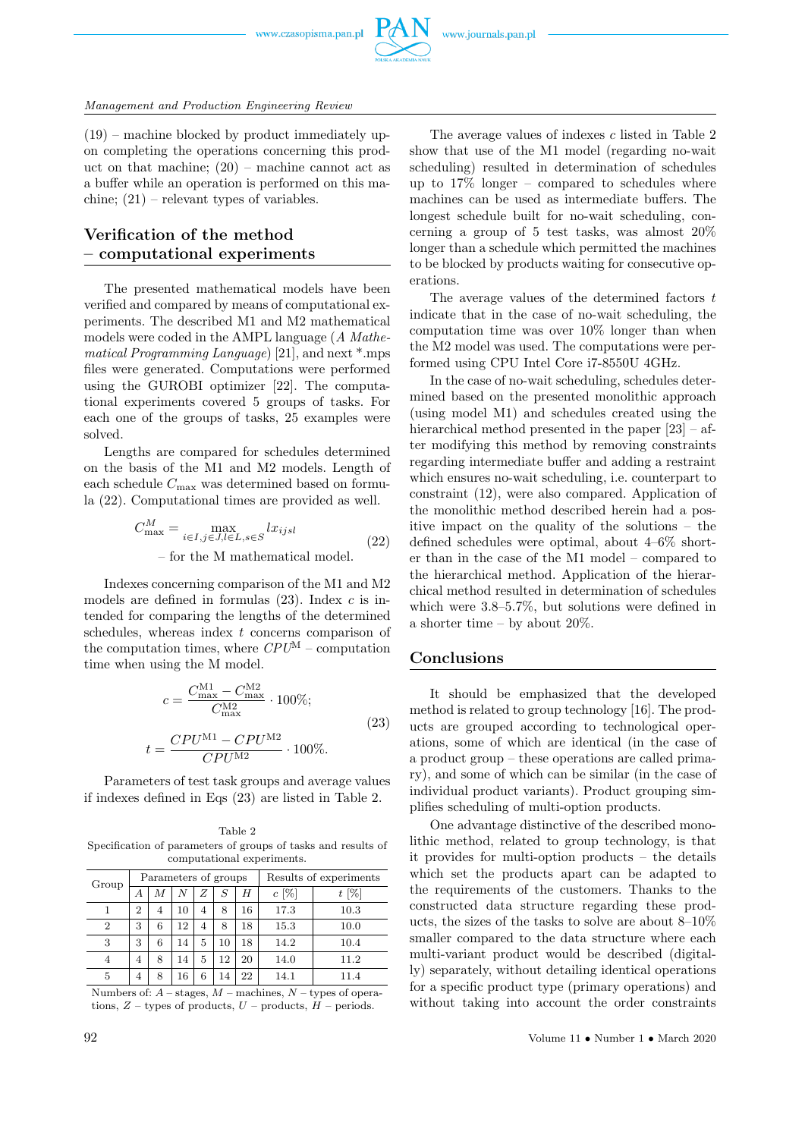www.czasopisma.pan.pl



#### *Management and Production Engineering Review*

(19) – machine blocked by product immediately upon completing the operations concerning this product on that machine;  $(20)$  – machine cannot act as a buffer while an operation is performed on this machine;  $(21)$  – relevant types of variables.

# **Verification of the method – computational experiments**

The presented mathematical models have been verified and compared by means of computational experiments. The described M1 and M2 mathematical models were coded in the AMPL language (*A Mathematical Programming Language*) [21], and next \*.mps files were generated. Computations were performed using the GUROBI optimizer [22]. The computational experiments covered 5 groups of tasks. For each one of the groups of tasks, 25 examples were solved.

Lengths are compared for schedules determined on the basis of the M1 and M2 models. Length of each schedule  $C_{\text{max}}$  was determined based on formula (22). Computational times are provided as well.

$$
C_{\text{max}}^{M} = \max_{i \in I, j \in J, l \in L, s \in S} l x_{ijsl}
$$
  
- for the M mathematical model. (22)

Indexes concerning comparison of the M1 and M2 models are defined in formulas  $(23)$ . Index c is intended for comparing the lengths of the determined schedules, whereas index t concerns comparison of the computation times, where  $CPU^{\text{M}}$  – computation time when using the M model.

$$
c = \frac{C_{\text{max}}^{\text{M1}} - C_{\text{max}}^{\text{M2}}}{C_{\text{max}}^{\text{M2}}} \cdot 100\%;
$$
  

$$
t = \frac{CPU^{\text{M1}} - CPU^{\text{M2}}}{CPU^{\text{M2}}} \cdot 100\%.
$$
 (23)

Parameters of test task groups and average values if indexes defined in Eqs (23) are listed in Table 2.

Table 2 Specification of parameters of groups of tasks and results of computational experiments.

| Group          | Parameters of groups |                |    |   |    |    | Results of experiments    |           |  |  |  |
|----------------|----------------------|----------------|----|---|----|----|---------------------------|-----------|--|--|--|
|                | А                    |                | N  | Z | S  | H  | $c \, \lbrack \% \rbrack$ | $t\,[\%]$ |  |  |  |
|                | $\overline{2}$       | $\overline{4}$ | 10 | 4 | 8  | 16 | 17.3                      | 10.3      |  |  |  |
| $\overline{2}$ | 3                    | 6              | 12 | 4 | 8  | 18 | 15.3                      | 10.0      |  |  |  |
| 3              | 3                    | 6              | 14 | 5 | 10 | 18 | 14.2                      | 10.4      |  |  |  |
| 4              | 4                    | 8              | 14 | 5 | 12 | 20 | 14.0                      | 11.2      |  |  |  |
| 5              | 4                    | 8              | 16 |   | 14 | 22 | 14.1                      |           |  |  |  |

Numbers of:  $A$  – stages,  $M$  – machines,  $N$  – types of operations,  $Z$  – types of products,  $U$  – products,  $H$  – periods.

The average values of indexes c listed in Table 2 show that use of the M1 model (regarding no-wait scheduling) resulted in determination of schedules up to 17% longer – compared to schedules where machines can be used as intermediate buffers. The longest schedule built for no-wait scheduling, concerning a group of 5 test tasks, was almost 20% longer than a schedule which permitted the machines to be blocked by products waiting for consecutive operations.

The average values of the determined factors t indicate that in the case of no-wait scheduling, the computation time was over 10% longer than when the M2 model was used. The computations were performed using CPU Intel Core i7-8550U 4GHz.

In the case of no-wait scheduling, schedules determined based on the presented monolithic approach (using model M1) and schedules created using the hierarchical method presented in the paper  $[23]$  – after modifying this method by removing constraints regarding intermediate buffer and adding a restraint which ensures no-wait scheduling, i.e. counterpart to constraint (12), were also compared. Application of the monolithic method described herein had a positive impact on the quality of the solutions – the defined schedules were optimal, about 4–6% shorter than in the case of the M1 model – compared to the hierarchical method. Application of the hierarchical method resulted in determination of schedules which were 3.8–5.7%, but solutions were defined in a shorter time – by about 20%.

#### **Conclusions**

It should be emphasized that the developed method is related to group technology [16]. The products are grouped according to technological operations, some of which are identical (in the case of a product group – these operations are called primary), and some of which can be similar (in the case of individual product variants). Product grouping simplifies scheduling of multi-option products.

One advantage distinctive of the described monolithic method, related to group technology, is that it provides for multi-option products – the details which set the products apart can be adapted to the requirements of the customers. Thanks to the constructed data structure regarding these products, the sizes of the tasks to solve are about 8–10% smaller compared to the data structure where each multi-variant product would be described (digitally) separately, without detailing identical operations for a specific product type (primary operations) and without taking into account the order constraints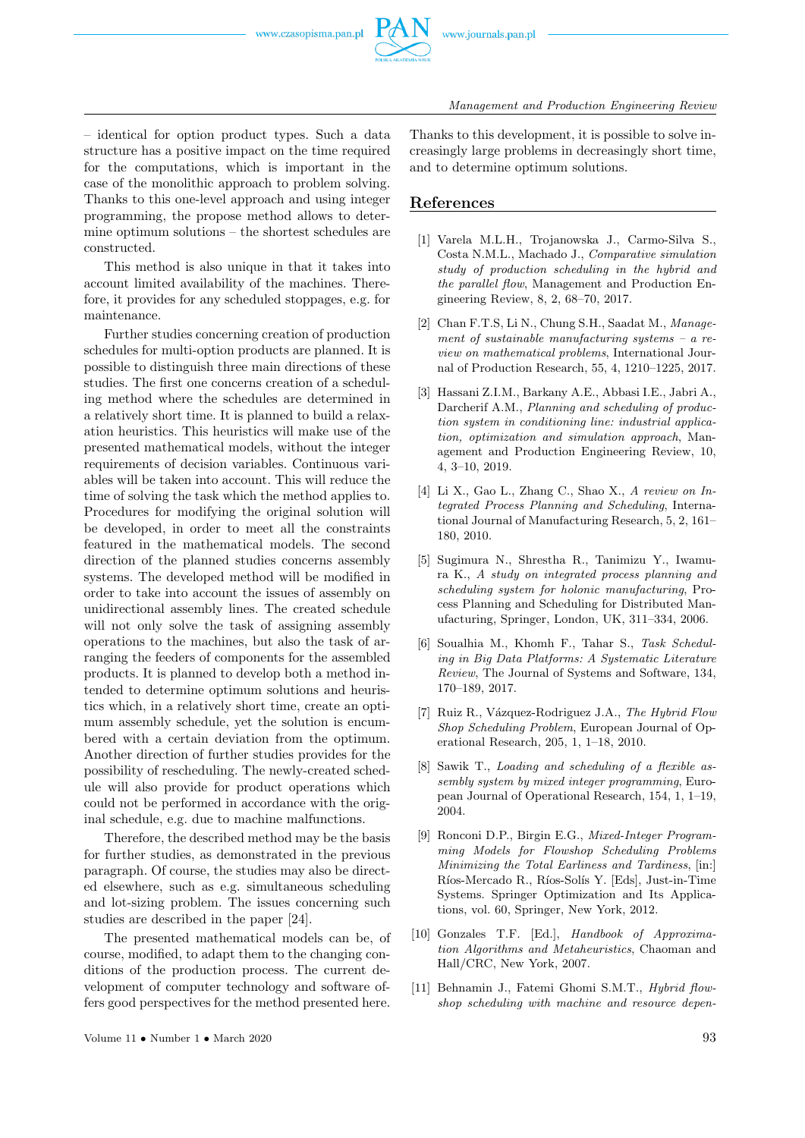

– identical for option product types. Such a data structure has a positive impact on the time required for the computations, which is important in the case of the monolithic approach to problem solving. Thanks to this one-level approach and using integer programming, the propose method allows to determine optimum solutions – the shortest schedules are constructed.

This method is also unique in that it takes into account limited availability of the machines. Therefore, it provides for any scheduled stoppages, e.g. for maintenance.

Further studies concerning creation of production schedules for multi-option products are planned. It is possible to distinguish three main directions of these studies. The first one concerns creation of a scheduling method where the schedules are determined in a relatively short time. It is planned to build a relaxation heuristics. This heuristics will make use of the presented mathematical models, without the integer requirements of decision variables. Continuous variables will be taken into account. This will reduce the time of solving the task which the method applies to. Procedures for modifying the original solution will be developed, in order to meet all the constraints featured in the mathematical models. The second direction of the planned studies concerns assembly systems. The developed method will be modified in order to take into account the issues of assembly on unidirectional assembly lines. The created schedule will not only solve the task of assigning assembly operations to the machines, but also the task of arranging the feeders of components for the assembled products. It is planned to develop both a method intended to determine optimum solutions and heuristics which, in a relatively short time, create an optimum assembly schedule, yet the solution is encumbered with a certain deviation from the optimum. Another direction of further studies provides for the possibility of rescheduling. The newly-created schedule will also provide for product operations which could not be performed in accordance with the original schedule, e.g. due to machine malfunctions.

Therefore, the described method may be the basis for further studies, as demonstrated in the previous paragraph. Of course, the studies may also be directed elsewhere, such as e.g. simultaneous scheduling and lot-sizing problem. The issues concerning such studies are described in the paper [24].

The presented mathematical models can be, of course, modified, to adapt them to the changing conditions of the production process. The current development of computer technology and software offers good perspectives for the method presented here.

Thanks to this development, it is possible to solve increasingly large problems in decreasingly short time, and to determine optimum solutions.

#### **References**

- [1] Varela M.L.H., Trojanowska J., Carmo-Silva S., Costa N.M.L., Machado J., *Comparative simulation study of production scheduling in the hybrid and the parallel flow*, Management and Production Engineering Review, 8, 2, 68–70, 2017.
- [2] Chan F.T.S, Li N., Chung S.H., Saadat M., *Management of sustainable manufacturing systems – a review on mathematical problems*, International Journal of Production Research, 55, 4, 1210–1225, 2017.
- [3] Hassani Z.I.M., Barkany A.E., Abbasi I.E., Jabri A., Darcherif A.M., *Planning and scheduling of production system in conditioning line: industrial application, optimization and simulation approach*, Management and Production Engineering Review, 10, 4, 3–10, 2019.
- [4] Li X., Gao L., Zhang C., Shao X., *A review on Integrated Process Planning and Scheduling*, International Journal of Manufacturing Research, 5, 2, 161– 180, 2010.
- [5] Sugimura N., Shrestha R., Tanimizu Y., Iwamura K., *A study on integrated process planning and scheduling system for holonic manufacturing*, Process Planning and Scheduling for Distributed Manufacturing, Springer, London, UK, 311–334, 2006.
- [6] Soualhia M., Khomh F., Tahar S., *Task Scheduling in Big Data Platforms: A Systematic Literature Review*, The Journal of Systems and Software, 134, 170–189, 2017.
- [7] Ruiz R., V´azquez-Rodriguez J.A., *The Hybrid Flow Shop Scheduling Problem*, European Journal of Operational Research, 205, 1, 1–18, 2010.
- [8] Sawik T., *Loading and scheduling of a flexible assembly system by mixed integer programming*, European Journal of Operational Research, 154, 1, 1–19, 2004.
- [9] Ronconi D.P., Birgin E.G., *Mixed-Integer Programming Models for Flowshop Scheduling Problems Minimizing the Total Earliness and Tardiness*, [in:] Ríos-Mercado R., Ríos-Solís Y. [Eds], Just-in-Time Systems. Springer Optimization and Its Applications, vol. 60, Springer, New York, 2012.
- [10] Gonzales T.F. [Ed.], *Handbook of Approximation Algorithms and Metaheuristics*, Chaoman and Hall/CRC, New York, 2007.
- [11] Behnamin J., Fatemi Ghomi S.M.T., *Hybrid flowshop scheduling with machine and resource depen-*